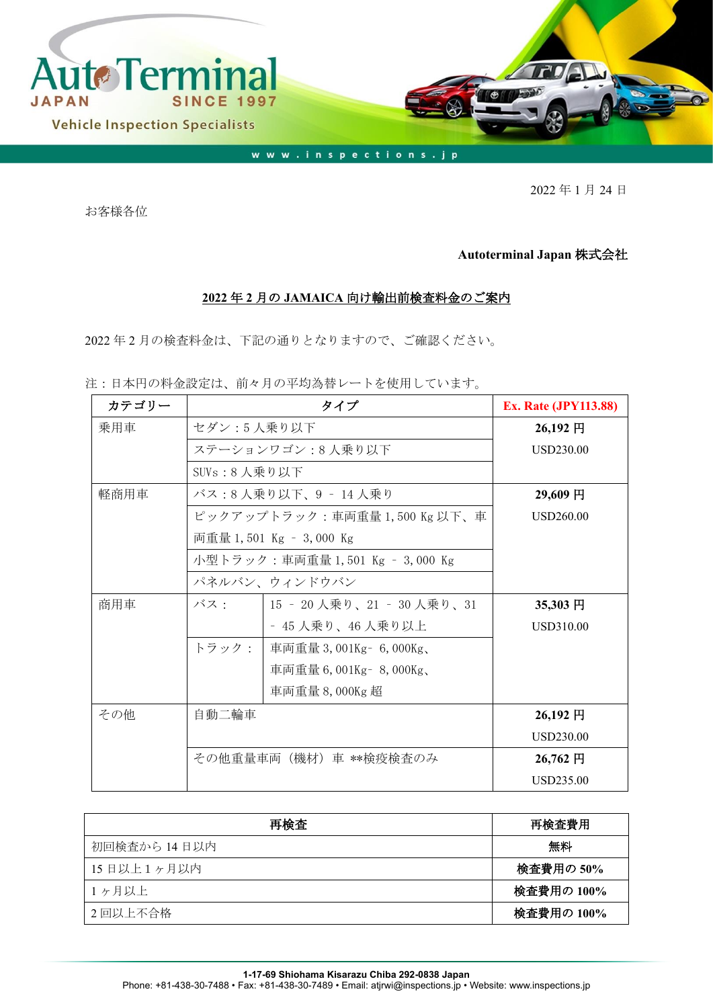

2022 年 1 月 24 日

お客様各位

## **Autoterminal Japan** 株式会社

## **2022** 年 **2** 月の **JAMAICA** 向け輸出前検査料金のご案内

2022 年 2 月の検査料金は、下記の通りとなりますので、ご確認ください。

注:日本円の料金設定は、前々月の平均為替レートを使用しています。

| カテゴリー | タイプ                        |                                 | <b>Ex. Rate (JPY113.88)</b> |
|-------|----------------------------|---------------------------------|-----------------------------|
| 乗用車   | セダン:5人乗り以下                 | 26,192円                         |                             |
|       | ステーションワゴン:8 人乗り以下          | USD230.00                       |                             |
|       | SUVs:8人乗り以下                |                                 |                             |
| 軽商用車  | バス:8 人乗り以下、9 ‐ 14 人乗り      | 29,609円                         |                             |
|       | ピックアップトラック:車両重量1,500Kg以下、車 | USD260.00                       |                             |
|       |                            | 両重量 1,501 Kg – 3,000 Kg         |                             |
|       |                            | 小型トラック:車両重量 1,501 Kg – 3,000 Kg |                             |
|       |                            | パネルバン、ウィンドウバン                   |                             |
| 商用車   | バス・                        | 15 ‐ 20 人乗り、21 ‐ 30 人乗り、31      | 35,303 円                    |
|       |                            | - 45 人乗り、46 人乗り以上               | <b>USD310.00</b>            |
|       | トラック:                      | 車両重量 3,001Kg - 6,000Kg、         |                             |
|       |                            | 車両重量 6,001Kg - 8,000Kg、         |                             |
|       |                            | 車両重量 8,000Kg 超                  |                             |
| その他   | 自動二輪車                      |                                 | $26,192$ 円                  |
|       |                            |                                 | <b>USD230.00</b>            |
|       | その他重量車両(機材)車 **検疫検査のみ      |                                 | 26,762 円                    |
|       |                            |                                 | USD235.00                   |

| 再検査          | 再検査費用      |
|--------------|------------|
| 初回検査から 14日以内 | 無料         |
| 15日以上1ヶ月以内   | 検査費用の 50%  |
| 1ヶ月以上        | 検査費用の 100% |
| 2回以上不合格      | 検査費用の 100% |